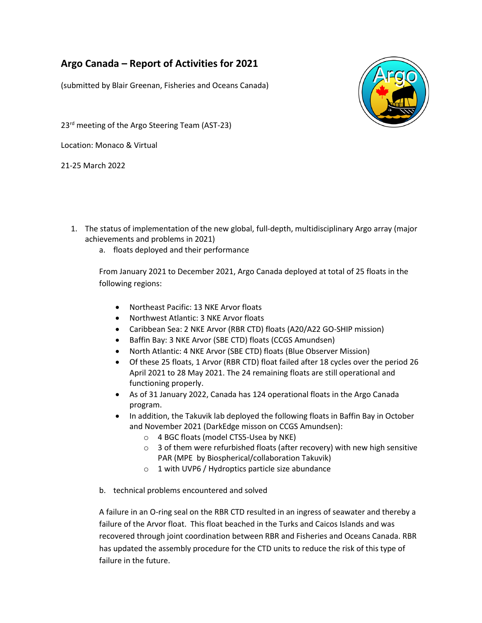# **Argo Canada – Report of Activities for 2021**

(submitted by Blair Greenan, Fisheries and Oceans Canada)

23<sup>rd</sup> meeting of the Argo Steering Team (AST-23)

Location: Monaco & Virtual

21-25 March 2022

- 1. The status of implementation of the new global, full-depth, multidisciplinary Argo array (major achievements and problems in 2021)
	- a. floats deployed and their performance

From January 2021 to December 2021, Argo Canada deployed at total of 25 floats in the following regions:

- Northeast Pacific: 13 NKE Arvor floats
- Northwest Atlantic: 3 NKE Arvor floats
- Caribbean Sea: 2 NKE Arvor (RBR CTD) floats (A20/A22 GO-SHIP mission)
- Baffin Bay: 3 NKE Arvor (SBE CTD) floats (CCGS Amundsen)
- North Atlantic: 4 NKE Arvor (SBE CTD) floats (Blue Observer Mission)
- Of these 25 floats, 1 Arvor (RBR CTD) float failed after 18 cycles over the period 26 April 2021 to 28 May 2021. The 24 remaining floats are still operational and functioning properly.
- As of 31 January 2022, Canada has 124 operational floats in the Argo Canada program.
- In addition, the Takuvik lab deployed the following floats in Baffin Bay in October and November 2021 (DarkEdge misson on CCGS Amundsen):
	- o 4 BGC floats (model CTS5-Usea by NKE)
	- $\circ$  3 of them were refurbished floats (after recovery) with new high sensitive PAR (MPE by Biospherical/collaboration Takuvik)
	- o 1 with UVP6 / Hydroptics particle size abundance
- b. technical problems encountered and solved

A failure in an O-ring seal on the RBR CTD resulted in an ingress of seawater and thereby a failure of the Arvor float. This float beached in the Turks and Caicos Islands and was recovered through joint coordination between RBR and Fisheries and Oceans Canada. RBR has updated the assembly procedure for the CTD units to reduce the risk of this type of failure in the future.

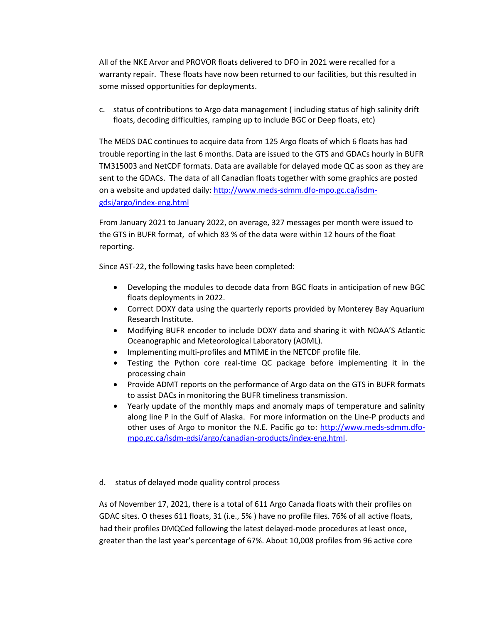All of the NKE Arvor and PROVOR floats delivered to DFO in 2021 were recalled for a warranty repair. These floats have now been returned to our facilities, but this resulted in some missed opportunities for deployments.

c. status of contributions to Argo data management ( including status of high salinity drift floats, decoding difficulties, ramping up to include BGC or Deep floats, etc)

The MEDS DAC continues to acquire data from 125 Argo floats of which 6 floats has had trouble reporting in the last 6 months. Data are issued to the GTS and GDACs hourly in BUFR TM315003 and NetCDF formats. Data are available for delayed mode QC as soon as they are sent to the GDACs. The data of all Canadian floats together with some graphics are posted on a website and updated daily: [http://www.meds-sdmm.dfo-mpo.gc.ca/isdm](http://www.meds-sdmm.dfo-mpo.gc.ca/isdm-gdsi/argo/index-eng.html)[gdsi/argo/index-eng.html](http://www.meds-sdmm.dfo-mpo.gc.ca/isdm-gdsi/argo/index-eng.html)

From January 2021 to January 2022, on average, 327 messages per month were issued to the GTS in BUFR format, of which 83 % of the data were within 12 hours of the float reporting.

Since AST-22, the following tasks have been completed:

- Developing the modules to decode data from BGC floats in anticipation of new BGC floats deployments in 2022.
- Correct DOXY data using the quarterly reports provided by Monterey Bay Aquarium Research Institute.
- Modifying BUFR encoder to include DOXY data and sharing it with NOAA'S Atlantic Oceanographic and Meteorological Laboratory (AOML).
- Implementing multi-profiles and MTIME in the NETCDF profile file.
- Testing the Python core real-time QC package before implementing it in the processing chain
- Provide ADMT reports on the performance of Argo data on the GTS in BUFR formats to assist DACs in monitoring the BUFR timeliness transmission.
- Yearly update of the monthly maps and anomaly maps of temperature and salinity along line P in the Gulf of Alaska. For more information on the Line-P products and other uses of Argo to monitor the N.E. Pacific go to: [http://www.meds-sdmm.dfo](http://www.meds-sdmm.dfo-mpo.gc.ca/isdm-gdsi/argo/canadian-products/index-eng.html)[mpo.gc.ca/isdm-gdsi/argo/canadian-products/index-eng.html.](http://www.meds-sdmm.dfo-mpo.gc.ca/isdm-gdsi/argo/canadian-products/index-eng.html)

### d. status of delayed mode quality control process

As of November 17, 2021, there is a total of 611 Argo Canada floats with their profiles on GDAC sites. O theses 611 floats, 31 (i.e., 5% ) have no profile files. 76% of all active floats, had their profiles DMQCed following the latest delayed-mode procedures at least once, greater than the last year's percentage of 67%. About 10,008 profiles from 96 active core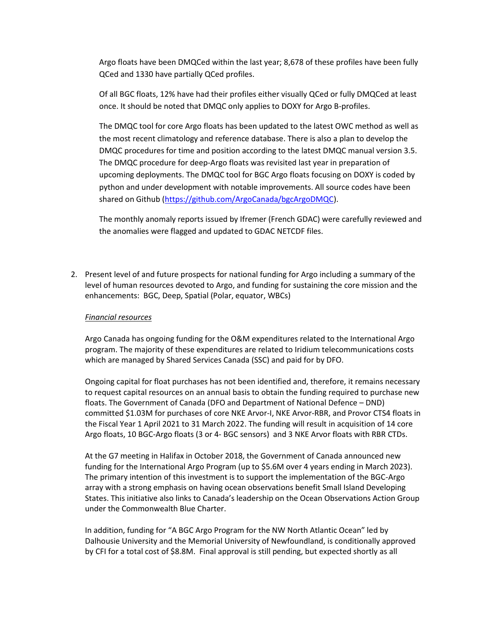Argo floats have been DMQCed within the last year; 8,678 of these profiles have been fully QCed and 1330 have partially QCed profiles.

Of all BGC floats, 12% have had their profiles either visually QCed or fully DMQCed at least once. It should be noted that DMQC only applies to DOXY for Argo B-profiles.

The DMQC tool for core Argo floats has been updated to the latest OWC method as well as the most recent climatology and reference database. There is also a plan to develop the DMQC procedures for time and position according to the latest DMQC manual version 3.5. The DMQC procedure for deep-Argo floats was revisited last year in preparation of upcoming deployments. The DMQC tool for BGC Argo floats focusing on DOXY is coded by python and under development with notable improvements. All source codes have been shared on Github [\(https://github.com/ArgoCanada/bgcArgoDMQC\)](https://github.com/ArgoCanada/bgcArgoDMQC).

The monthly anomaly reports issued by Ifremer (French GDAC) were carefully reviewed and the anomalies were flagged and updated to GDAC NETCDF files.

2. Present level of and future prospects for national funding for Argo including a summary of the level of human resources devoted to Argo, and funding for sustaining the core mission and the enhancements: BGC, Deep, Spatial (Polar, equator, WBCs)

### *Financial resources*

Argo Canada has ongoing funding for the O&M expenditures related to the International Argo program. The majority of these expenditures are related to Iridium telecommunications costs which are managed by Shared Services Canada (SSC) and paid for by DFO.

Ongoing capital for float purchases has not been identified and, therefore, it remains necessary to request capital resources on an annual basis to obtain the funding required to purchase new floats. The Government of Canada (DFO and Department of National Defence – DND) committed \$1.03M for purchases of core NKE Arvor-I, NKE Arvor-RBR, and Provor CTS4 floats in the Fiscal Year 1 April 2021 to 31 March 2022. The funding will result in acquisition of 14 core Argo floats, 10 BGC-Argo floats (3 or 4- BGC sensors) and 3 NKE Arvor floats with RBR CTDs.

At the G7 meeting in Halifax in October 2018, the Government of Canada announced new funding for the International Argo Program (up to \$5.6M over 4 years ending in March 2023). The primary intention of this investment is to support the implementation of the BGC-Argo array with a strong emphasis on having ocean observations benefit Small Island Developing States. This initiative also links to Canada's leadership on the Ocean Observations Action Group under the Commonwealth Blue Charter.

In addition, funding for "A BGC Argo Program for the NW North Atlantic Ocean" led by Dalhousie University and the Memorial University of Newfoundland, is conditionally approved by CFI for a total cost of \$8.8M. Final approval is still pending, but expected shortly as all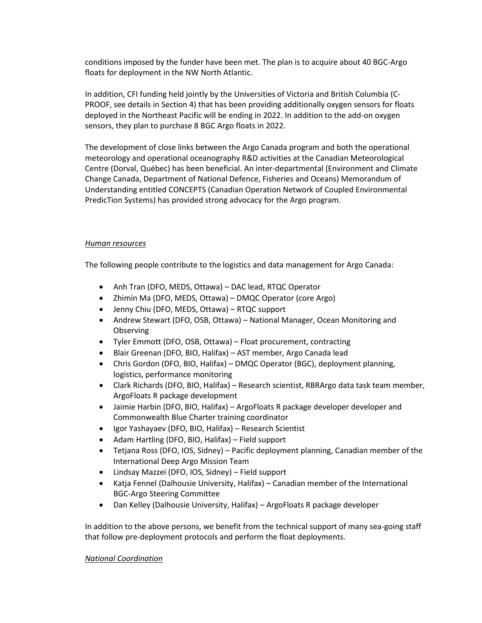conditions imposed by the funder have been met. The plan is to acquire about 40 BGC-Argo floats for deployment in the NW North Atlantic.

In addition, CFI funding held jointly by the Universities of Victoria and British Columbia (C-PROOF, see details in Section 4) that has been providing additionally oxygen sensors for floats deployed in the Northeast Pacific will be ending in 2022. In addition to the add-on oxygen sensors, they plan to purchase 8 BGC Argo floats in 2022.

The development of close links between the Argo Canada program and both the operational meteorology and operational oceanography R&D activities at the Canadian Meteorological Centre (Dorval, Québec) has been beneficial. An inter-departmental (Environment and Climate Change Canada, Department of National Defence, Fisheries and Oceans) Memorandum of Understanding entitled CONCEPTS (Canadian Operation Network of Coupled Environmental PredicTion Systems) has provided strong advocacy for the Argo program.

### *Human resources*

The following people contribute to the logistics and data management for Argo Canada:

- Anh Tran (DFO, MEDS, Ottawa) DAC lead, RTQC Operator
- Zhimin Ma (DFO, MEDS, Ottawa) DMQC Operator (core Argo)
- Jenny Chiu (DFO, MEDS, Ottawa) RTQC support
- Andrew Stewart (DFO, OSB, Ottawa) National Manager, Ocean Monitoring and **Observing**
- Tyler Emmott (DFO, OSB, Ottawa) Float procurement, contracting
- Blair Greenan (DFO, BIO, Halifax) AST member, Argo Canada lead
- Chris Gordon (DFO, BIO, Halifax) DMQC Operator (BGC), deployment planning, logistics, performance monitoring
- Clark Richards (DFO, BIO, Halifax) Research scientist, RBRArgo data task team member, ArgoFloats R package development
- Jaimie Harbin (DFO, BIO, Halifax) ArgoFloats R package developer developer and Commonwealth Blue Charter training coordinator
- Igor Yashayaev (DFO, BIO, Halifax) Research Scientist
- Adam Hartling (DFO, BIO, Halifax) Field support
- Tetjana Ross (DFO, IOS, Sidney) Pacific deployment planning, Canadian member of the International Deep Argo Mission Team
- Lindsay Mazzei (DFO, IOS, Sidney) Field support
- Katja Fennel (Dalhousie University, Halifax) Canadian member of the International BGC-Argo Steering Committee
- Dan Kelley (Dalhousie University, Halifax) ArgoFloats R package developer

In addition to the above persons, we benefit from the technical support of many sea-going staff that follow pre-deployment protocols and perform the float deployments.

### *National Coordination*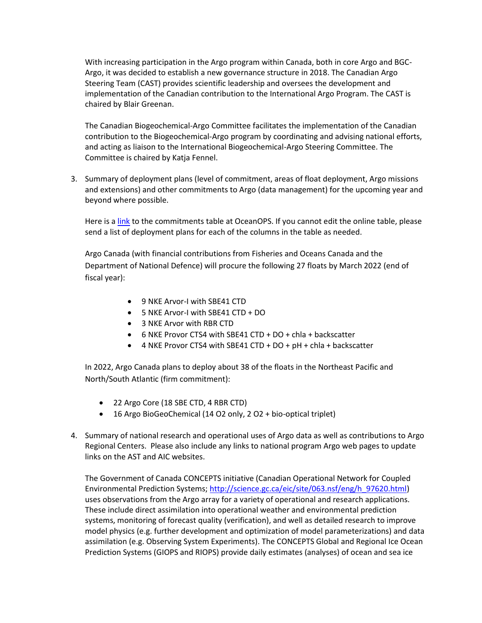With increasing participation in the Argo program within Canada, both in core Argo and BGC-Argo, it was decided to establish a new governance structure in 2018. The Canadian Argo Steering Team (CAST) provides scientific leadership and oversees the development and implementation of the Canadian contribution to the International Argo Program. The CAST is chaired by Blair Greenan.

The Canadian Biogeochemical-Argo Committee facilitates the implementation of the Canadian contribution to the Biogeochemical-Argo program by coordinating and advising national efforts, and acting as liaison to the International Biogeochemical-Argo Steering Committee. The Committee is chaired by Katja Fennel.

3. Summary of deployment plans (level of commitment, areas of float deployment, Argo missions and extensions) and other commitments to Argo (data management) for the upcoming year and beyond where possible.

Here is a [link](https://www.ocean-ops.org/board/wa/CommitmentsModule?t=Argo) to the commitments table at OceanOPS. If you cannot edit the online table, please send a list of deployment plans for each of the columns in the table as needed.

Argo Canada (with financial contributions from Fisheries and Oceans Canada and the Department of National Defence) will procure the following 27 floats by March 2022 (end of fiscal year):

- 9 NKE Arvor-I with SBE41 CTD
- 5 NKE Arvor-I with SBE41 CTD + DO
- 3 NKE Arvor with RBR CTD
- 6 NKE Provor CTS4 with SBE41 CTD + DO + chla + backscatter
- 4 NKE Provor CTS4 with SBE41 CTD + DO + pH + chla + backscatter

In 2022, Argo Canada plans to deploy about 38 of the floats in the Northeast Pacific and North/South Atlantic (firm commitment):

- 22 Argo Core (18 SBE CTD, 4 RBR CTD)
- 16 Argo BioGeoChemical (14 O2 only, 2 O2 + bio-optical triplet)
- 4. Summary of national research and operational uses of Argo data as well as contributions to Argo Regional Centers. Please also include any links to national program Argo web pages to update links on the AST and AIC websites.

The Government of Canada CONCEPTS initiative (Canadian Operational Network for Coupled Environmental Prediction Systems; [http://science.gc.ca/eic/site/063.nsf/eng/h\\_97620.html\)](http://science.gc.ca/eic/site/063.nsf/eng/h_97620.html) uses observations from the Argo array for a variety of operational and research applications. These include direct assimilation into operational weather and environmental prediction systems, monitoring of forecast quality (verification), and well as detailed research to improve model physics (e.g. further development and optimization of model parameterizations) and data assimilation (e.g. Observing System Experiments). The CONCEPTS Global and Regional Ice Ocean Prediction Systems (GIOPS and RIOPS) provide daily estimates (analyses) of ocean and sea ice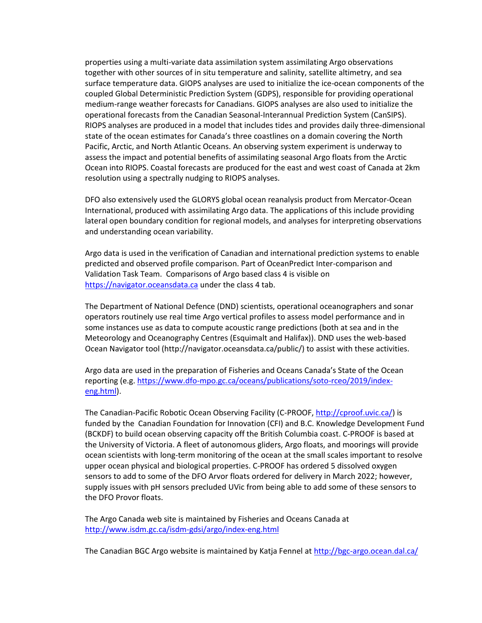properties using a multi-variate data assimilation system assimilating Argo observations together with other sources of in situ temperature and salinity, satellite altimetry, and sea surface temperature data. GIOPS analyses are used to initialize the ice-ocean components of the coupled Global Deterministic Prediction System (GDPS), responsible for providing operational medium-range weather forecasts for Canadians. GIOPS analyses are also used to initialize the operational forecasts from the Canadian Seasonal-Interannual Prediction System (CanSIPS). RIOPS analyses are produced in a model that includes tides and provides daily three-dimensional state of the ocean estimates for Canada's three coastlines on a domain covering the North Pacific, Arctic, and North Atlantic Oceans. An observing system experiment is underway to assess the impact and potential benefits of assimilating seasonal Argo floats from the Arctic Ocean into RIOPS. Coastal forecasts are produced for the east and west coast of Canada at 2km resolution using a spectrally nudging to RIOPS analyses.

DFO also extensively used the GLORYS global ocean reanalysis product from Mercator-Ocean International, produced with assimilating Argo data. The applications of this include providing lateral open boundary condition for regional models, and analyses for interpreting observations and understanding ocean variability.

Argo data is used in the verification of Canadian and international prediction systems to enable predicted and observed profile comparison. Part of OceanPredict Inter-comparison and Validation Task Team. Comparisons of Argo based class 4 is visible on [https://navigator.oceansdata.ca](https://navigator.oceansdata.ca/) under the class 4 tab.

The Department of National Defence (DND) scientists, operational oceanographers and sonar operators routinely use real time Argo vertical profiles to assess model performance and in some instances use as data to compute acoustic range predictions (both at sea and in the Meteorology and Oceanography Centres (Esquimalt and Halifax)). DND uses the web-based Ocean Navigator tool (http://navigator.oceansdata.ca/public/) to assist with these activities.

Argo data are used in the preparation of Fisheries and Oceans Canada's State of the Ocean reporting (e.g. [https://www.dfo-mpo.gc.ca/oceans/publications/soto-rceo/2019/index](https://www.dfo-mpo.gc.ca/oceans/publications/soto-rceo/2019/index-eng.html)[eng.html\)](https://www.dfo-mpo.gc.ca/oceans/publications/soto-rceo/2019/index-eng.html).

The Canadian-Pacific Robotic Ocean Observing Facility (C-PROOF, [http://cproof.uvic.ca/\)](http://cproof.uvic.ca/) is funded by the Canadian Foundation for Innovation (CFI) and B.C. Knowledge Development Fund (BCKDF) to build ocean observing capacity off the British Columbia coast. C-PROOF is based at the University of Victoria. A fleet of autonomous gliders, Argo floats, and moorings will provide ocean scientists with long-term monitoring of the ocean at the small scales important to resolve upper ocean physical and biological properties. C-PROOF has ordered 5 dissolved oxygen sensors to add to some of the DFO Arvor floats ordered for delivery in March 2022; however, supply issues with pH sensors precluded UVic from being able to add some of these sensors to the DFO Provor floats.

The Argo Canada web site is maintained by Fisheries and Oceans Canada at <http://www.isdm.gc.ca/isdm-gdsi/argo/index-eng.html>

The Canadian BGC Argo website is maintained by Katja Fennel a[t http://bgc-argo.ocean.dal.ca/](http://bgc-argo.ocean.dal.ca/)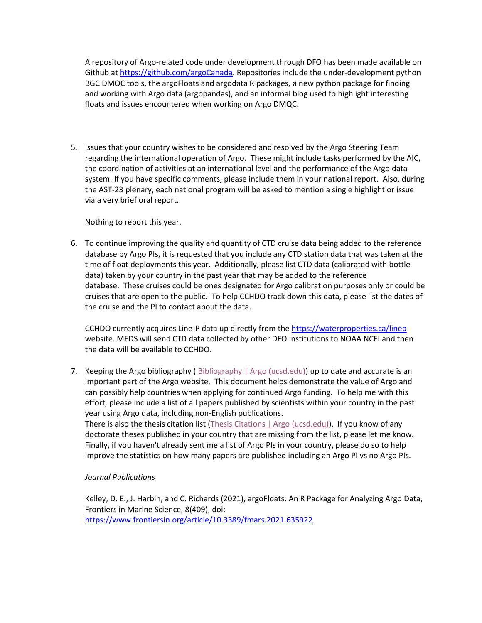A repository of Argo-related code under development through DFO has been made available on Github at [https://github.com/argoCanada.](https://github.com/argoCanada) Repositories include the under-development python BGC DMQC tools, the argoFloats and argodata R packages, a new python package for finding and working with Argo data (argopandas), and an informal blog used to highlight interesting floats and issues encountered when working on Argo DMQC.

5. Issues that your country wishes to be considered and resolved by the Argo Steering Team regarding the international operation of Argo. These might include tasks performed by the AIC, the coordination of activities at an international level and the performance of the Argo data system. If you have specific comments, please include them in your national report. Also, during the AST-23 plenary, each national program will be asked to mention a single highlight or issue via a very brief oral report.

Nothing to report this year.

6. To continue improving the quality and quantity of CTD cruise data being added to the reference database by Argo PIs, it is requested that you include any CTD station data that was taken at the time of float deployments this year. Additionally, please list CTD data (calibrated with bottle data) taken by your country in the past year that may be added to the reference database. These cruises could be ones designated for Argo calibration purposes only or could be cruises that are open to the public. To help CCHDO track down this data, please list the dates of the cruise and the PI to contact about the data.

CCHDO currently acquires Line-P data up directly from the<https://waterproperties.ca/linep> website. MEDS will send CTD data collected by other DFO institutions to NOAA NCEI and then the data will be available to CCHDO.

7. Keeping the Argo bibliography ( [Bibliography | Argo \(ucsd.edu\)\)](https://argo.ucsd.edu/outreach/publications/bibliography/) up to date and accurate is an important part of the Argo website. This document helps demonstrate the value of Argo and can possibly help countries when applying for continued Argo funding. To help me with this effort, please include a list of all papers published by scientists within your country in the past year using Argo data, including non-English publications.

There is also the thesis citation list [\(Thesis Citations | Argo \(ucsd.edu\)\)](https://argo.ucsd.edu/outreach/publications/thesis-citations/). If you know of any doctorate theses published in your country that are missing from the list, please let me know. Finally, if you haven't already sent me a list of Argo PIs in your country, please do so to help improve the statistics on how many papers are published including an Argo PI vs no Argo PIs.

## *Journal Publications*

Kelley, D. E., J. Harbin, and C. Richards (2021), argoFloats: An R Package for Analyzing Argo Data, Frontiers in Marine Science, 8(409), doi: <https://www.frontiersin.org/article/10.3389/fmars.2021.635922>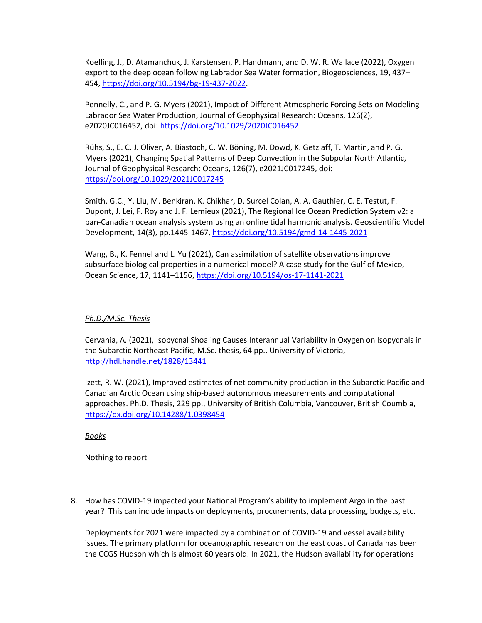Koelling, J., D. Atamanchuk, J. Karstensen, P. Handmann, and D. W. R. Wallace (2022), Oxygen export to the deep ocean following Labrador Sea Water formation, Biogeosciences, 19, 437– 454, [https://doi.org/10.5194/bg-19-437-2022.](https://doi.org/10.5194/bg-19-437-2022)

Pennelly, C., and P. G. Myers (2021), Impact of Different Atmospheric Forcing Sets on Modeling Labrador Sea Water Production, Journal of Geophysical Research: Oceans, 126(2), e2020JC016452, doi:<https://doi.org/10.1029/2020JC016452>

Rühs, S., E. C. J. Oliver, A. Biastoch, C. W. Böning, M. Dowd, K. Getzlaff, T. Martin, and P. G. Myers (2021), Changing Spatial Patterns of Deep Convection in the Subpolar North Atlantic, Journal of Geophysical Research: Oceans, 126(7), e2021JC017245, doi: <https://doi.org/10.1029/2021JC017245>

Smith, G.C., Y. Liu, M. Benkiran, K. Chikhar, D. Surcel Colan, A. A. Gauthier, C. E. Testut, F. Dupont, J. Lei, F. Roy and J. F. Lemieux (2021), The Regional Ice Ocean Prediction System v2: a pan-Canadian ocean analysis system using an online tidal harmonic analysis. Geoscientific Model Development, 14(3), pp.1445-1467,<https://doi.org/10.5194/gmd-14-1445-2021>

Wang, B., K. Fennel and L. Yu (2021), Can assimilation of satellite observations improve subsurface biological properties in a numerical model? A case study for the Gulf of Mexico, Ocean Science, 17, 1141–1156[, https://doi.org/10.5194/os-17-1141-2021](https://doi.org/10.5194/os-17-1141-2021) 

### *Ph.D./M.Sc. Thesis*

Cervania, A. (2021), Isopycnal Shoaling Causes Interannual Variability in Oxygen on Isopycnals in the Subarctic Northeast Pacific, M.Sc. thesis, 64 pp., University of Victoria, <http://hdl.handle.net/1828/13441>

Izett, R. W. (2021), Improved estimates of net community production in the Subarctic Pacific and Canadian Arctic Ocean using ship-based autonomous measurements and computational approaches. Ph.D. Thesis, 229 pp., University of British Columbia, Vancouver, British Coumbia, <https://dx.doi.org/10.14288/1.0398454>

*Books*

Nothing to report

8. How has COVID-19 impacted your National Program's ability to implement Argo in the past year? This can include impacts on deployments, procurements, data processing, budgets, etc.

Deployments for 2021 were impacted by a combination of COVID-19 and vessel availability issues. The primary platform for oceanographic research on the east coast of Canada has been the CCGS Hudson which is almost 60 years old. In 2021, the Hudson availability for operations